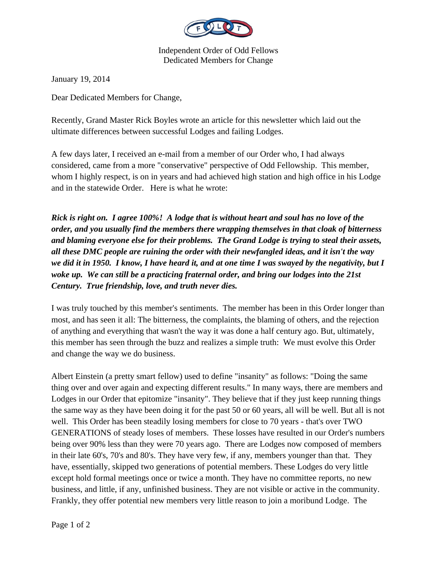

Independent Order of Odd Fellows Dedicated Members for Change

January 19, 2014

Dear Dedicated Members for Change,

Recently, Grand Master Rick Boyles wrote an article for this newsletter which laid out the ultimate differences between successful Lodges and failing Lodges.

A few days later, I received an e-mail from a member of our Order who, I had always considered, came from a more "conservative" perspective of Odd Fellowship. This member, whom I highly respect, is on in years and had achieved high station and high office in his Lodge and in the statewide Order. Here is what he wrote:

*Rick is right on. I agree 100%! A lodge that is without heart and soul has no love of the order, and you usually find the members there wrapping themselves in that cloak of bitterness and blaming everyone else for their problems. The Grand Lodge is trying to steal their assets, all these DMC people are ruining the order with their newfangled ideas, and it isn't the way we did it in 1950. I know, I have heard it, and at one time I was swayed by the negativity, but I woke up. We can still be a practicing fraternal order, and bring our lodges into the 21st Century. True friendship, love, and truth never dies.* 

I was truly touched by this member's sentiments. The member has been in this Order longer than most, and has seen it all: The bitterness, the complaints, the blaming of others, and the rejection of anything and everything that wasn't the way it was done a half century ago. But, ultimately, this member has seen through the buzz and realizes a simple truth: We must evolve this Order and change the way we do business.

Albert Einstein (a pretty smart fellow) used to define "insanity" as follows: "Doing the same thing over and over again and expecting different results." In many ways, there are members and Lodges in our Order that epitomize "insanity". They believe that if they just keep running things the same way as they have been doing it for the past 50 or 60 years, all will be well. But all is not well. This Order has been steadily losing members for close to 70 years - that's over TWO GENERATIONS of steady loses of members. These losses have resulted in our Order's numbers being over 90% less than they were 70 years ago. There are Lodges now composed of members in their late 60's, 70's and 80's. They have very few, if any, members younger than that. They have, essentially, skipped two generations of potential members. These Lodges do very little except hold formal meetings once or twice a month. They have no committee reports, no new business, and little, if any, unfinished business. They are not visible or active in the community. Frankly, they offer potential new members very little reason to join a moribund Lodge. The